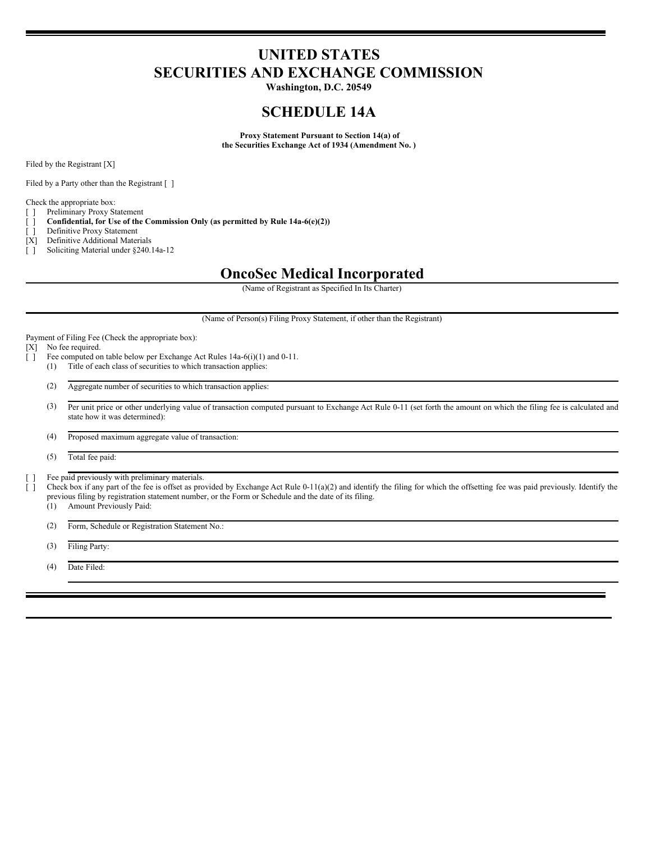# **UNITED STATES SECURITIES AND EXCHANGE COMMISSION**

**Washington, D.C. 20549**

## **SCHEDULE 14A**

**Proxy Statement Pursuant to Section 14(a) of the Securities Exchange Act of 1934 (Amendment No. )**

Filed by the Registrant [X]

Filed by a Party other than the Registrant [ ]

Check the appropriate box:

[ ] Preliminary Proxy Statement

[ ] **Confidential, for Use of the Commission Only (as permitted by Rule 14a-6(e)(2))**

- [ ] Definitive Proxy Statement
- [X] Definitive Additional Materials
- [ ] Soliciting Material under §240.14a-12

## **OncoSec Medical Incorporated**

(Name of Registrant as Specified In Its Charter)

(Name of Person(s) Filing Proxy Statement, if other than the Registrant)

Payment of Filing Fee (Check the appropriate box):

[X] No fee required.

- [ ] Fee computed on table below per Exchange Act Rules 14a-6(i)(1) and 0-11.
	- (1) Title of each class of securities to which transaction applies:
	- (2) Aggregate number of securities to which transaction applies:
	- (3) Per unit price or other underlying value of transaction computed pursuant to Exchange Act Rule 0-11 (set forth the amount on which the filing fee is calculated and state how it was determined):
	- (4) Proposed maximum aggregate value of transaction:

(5) Total fee paid:

[ ] Fee paid previously with preliminary materials.

[ ] Check box if any part of the fee is offset as provided by Exchange Act Rule 0-11(a)(2) and identify the filing for which the offsetting fee was paid previously. Identify the previous filing by registration statement number, or the Form or Schedule and the date of its filing.

(1) Amount Previously Paid:

(2) Form, Schedule or Registration Statement No.:

(3) Filing Party:

(4) Date Filed: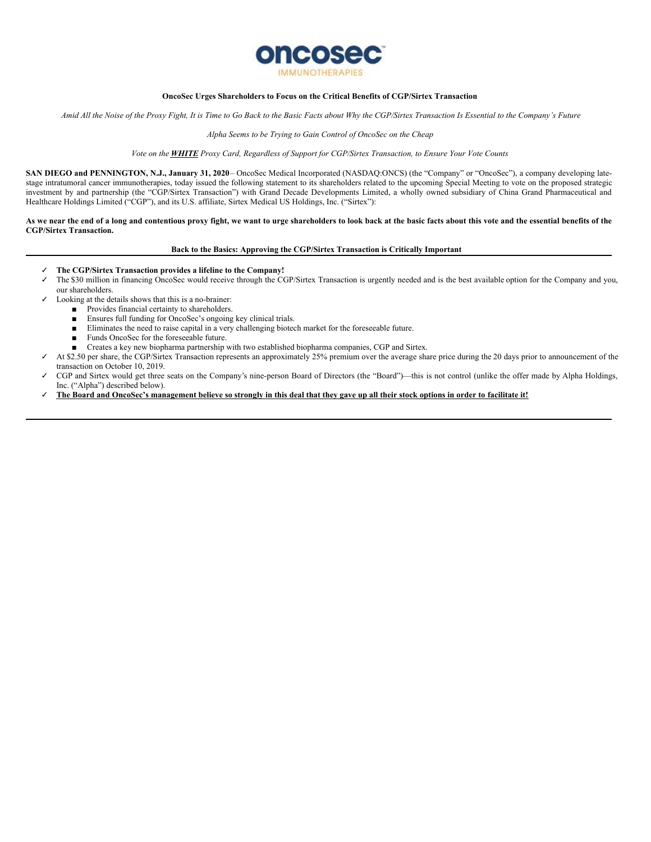

#### **OncoSec Urges Shareholders to Focus on the Critical Benefits of CGP/Sirtex Transaction**

Amid All the Noise of the Proxy Fight, It is Time to Go Back to the Basic Facts about Why the CGP/Sirtex Transaction Is Essential to the Company's Future

#### *Alpha Seems to be Trying to Gain Control of OncoSec on the Cheap*

#### Vote on the **WHITE** Proxy Card, Regardless of Support for CGP/Sirtex Transaction, to Ensure Your Vote Counts

**SAN DIEGO and PENNINGTON, N.J., January 31, 2020**– OncoSec Medical Incorporated (NASDAQ:ONCS) (the "Company" or "OncoSec"), a company developing latestage intratumoral cancer immunotherapies, today issued the following statement to its shareholders related to the upcoming Special Meeting to vote on the proposed strategic investment by and partnership (the "CGP/Sirtex Transaction") with Grand Decade Developments Limited, a wholly owned subsidiary of China Grand Pharmaceutical and Healthcare Holdings Limited ("CGP"), and its U.S. affiliate, Sirtex Medical US Holdings, Inc. ("Sirtex"):

As we near the end of a long and contentious proxy fight, we want to urge shareholders to look back at the basic facts about this vote and the essential benefits of the **CGP/Sirtex Transaction.**

#### **Back to the Basics: Approving the CGP/Sirtex Transaction is Critically Important**

- ✓ **The CGP/Sirtex Transaction provides a lifeline to the Company!**
- ✓ The \$30 million in financing OncoSec would receive through the CGP/Sirtex Transaction is urgently needed and is the best available option for the Company and you, our shareholders.
- Looking at the details shows that this is a no-brainer:
	- Provides financial certainty to shareholders.
	- Ensures full funding for OncoSec's ongoing key clinical trials.
	- Eliminates the need to raise capital in a very challenging biotech market for the foreseeable future.
	- Funds OncoSec for the foreseeable future.
	- Creates a key new biopharma partnership with two established biopharma companies, CGP and Sirtex.
- At \$2.50 per share, the CGP/Sirtex Transaction represents an approximately 25% premium over the average share price during the 20 days prior to announcement of the transaction on October 10, 2019.
- CGP and Sirtex would get three seats on the Company's nine-person Board of Directors (the "Board")—this is not control (unlike the offer made by Alpha Holdings, Inc. ("Alpha") described below).
- The Board and OncoSec's management believe so strongly in this deal that they gave up all their stock options in order to facilitate it!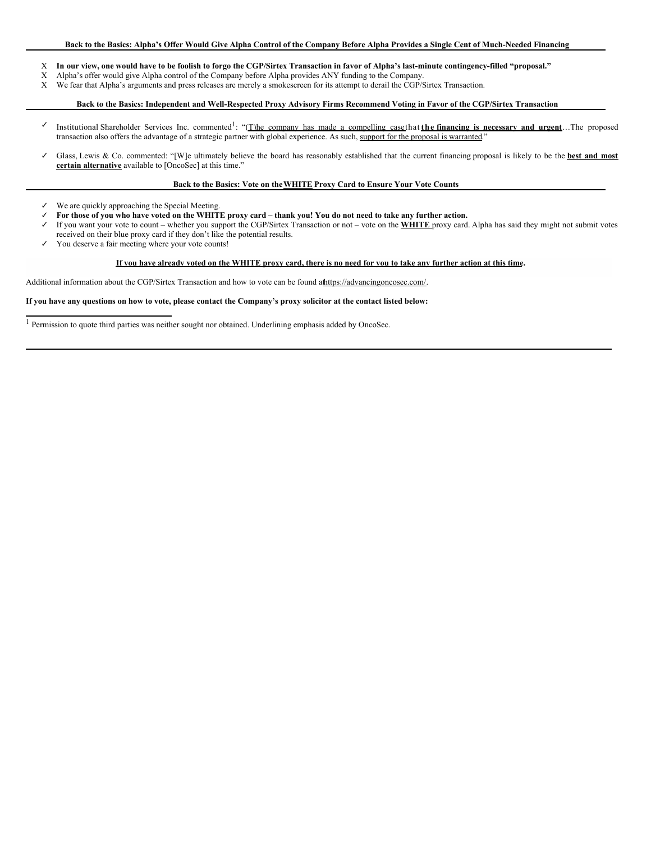### Back to the Basics: Alpha's Offer Would Give Alpha Control of the Company Before Alpha Provides a Single Cent of Much-Needed Financing

- X In our view, one would have to be foolish to forgo the CGP/Sirtex Transaction in favor of Alpha's last-minute contingency-filled "proposal."
- X Alpha's offer would give Alpha control of the Company before Alpha provides ANY funding to the Company.<br>X We fear that Alpha's arguments and press releases are merely a smokescreen for its attempt to derail the CGP/S
- We fear that Alpha's arguments and press releases are merely a smokescreen for its attempt to derail the CGP/Sirtex Transaction.

## Back to the Basics: Independent and Well-Respected Proxy Advisory Firms Recommend Voting in Favor of the CGP/Sirtex Transaction

- ✓ Institutional Shareholder Services Inc. commented 1 : "(T)he company has made a compelling casethat **the financing is necessary and urgent**…The proposed transaction also offers the advantage of a strategic partner with global experience. As such, support for the proposal is warranted."
- ✓ Glass, Lewis & Co. commented: "[W]e ultimately believe the board has reasonably established that the current financing proposal is likely to be the **best and most certain alternative** available to [OncoSec] at this time."

#### **Back to the Basics: Vote on theWHITE Proxy Card to Ensure Your Vote Counts**

- We are quickly approaching the Special Meeting.
- For those of you who have voted on the WHITE proxy card thank you! You do not need to take any further action.
- ✓ If you want your vote to count whether you support the CGP/Sirtex Transaction or not vote on the **WHITE** proxy card. Alpha has said they might not submit votes received on their blue proxy card if they don't like the potential results.
- ✓ You deserve a fair meeting where your vote counts!

#### If you have already voted on the WHITE proxy card, there is no need for you to take any further action at this time.

Additional information about the CGP/Sirtex Transaction and how to vote can be found athttps://advancingoncosec.com/.

#### If you have any questions on how to vote, please contact the Company's proxy solicitor at the contact listed below:

 $^{\rm 1}$  Permission to quote third parties was neither sought nor obtained. Underlining emphasis added by OncoSec.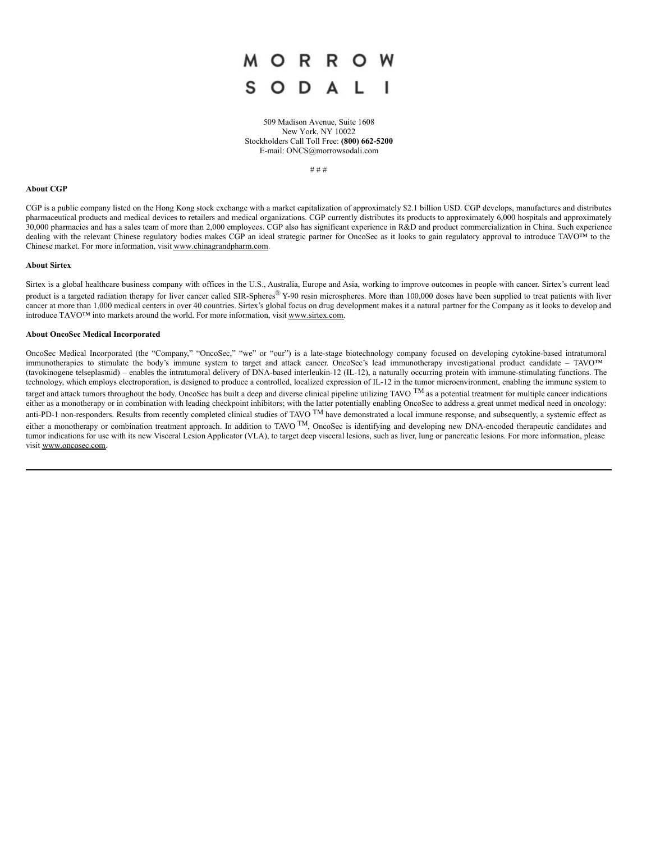

509 Madison Avenue, Suite 1608 New York, NY 10022 Stockholders Call Toll Free: **(800) 662-5200** E-mail: ONCS@morrowsodali.com

# # #

#### **About CGP**

CGP is a public company listed on the Hong Kong stock exchange with a market capitalization of approximately \$2.1 billion USD. CGP develops, manufactures and distributes pharmaceutical products and medical devices to retailers and medical organizations. CGP currently distributes its products to approximately 6,000 hospitals and approximately 30,000 pharmacies and has a sales team of more than 2,000 employees. CGP also has significant experience in R&D and product commercialization in China. Such experience dealing with the relevant Chinese regulatory bodies makes CGP an ideal strategic partner for OncoSec as it looks to gain regulatory approval to introduce TAVO™ to the Chinese market. For more information, visit www.chinagrandpharm.com.

#### **About Sirtex**

Sirtex is a global healthcare business company with offices in the U.S., Australia, Europe and Asia, working to improve outcomes in people with cancer. Sirtex's current lead product is a targeted radiation therapy for liver cancer called SIR-Spheres®  $Y$ -90 resin microspheres. More than 100,000 doses have been supplied to treat patients with liver cancer at more than 1,000 medical centers in over 40 countries. Sirtex's global focus on drug development makes it a natural partner for the Company as it looks to develop and introduce TAVO™ into markets around the world. For more information, visit www.sirtex.com.

#### **About OncoSec Medical Incorporated**

OncoSec Medical Incorporated (the "Company," "OncoSec," "we" or "our") is a late-stage biotechnology company focused on developing cytokine-based intratumoral immunotherapies to stimulate the body's immune system to target and attack cancer. OncoSec's lead immunotherapy investigational product candidate – TAVO™ (tavokinogene telseplasmid) – enables the intratumoral delivery of DNA-based interleukin-12 (IL-12), a naturally occurring protein with immune-stimulating functions. The technology, which employs electroporation, is designed to produce a controlled, localized expression of IL-12 in the tumor microenvironment, enabling the immune system to target and attack tumors throughout the body. OncoSec has built a deep and diverse clinical pipeline utilizing TAVO  $\text{TM}$  as a potential treatment for multiple cancer indications either as a monotherapy or in combination with leading checkpoint inhibitors; with the latter potentially enabling OncoSec to address a great unmet medical need in oncology: anti-PD-1 non-responders. Results from recently completed clinical studies of TAVO  $\text{TM}$  have demonstrated a local immune response, and subsequently, a systemic effect as either a monotherapy or combination treatment approach. In addition to TAVO  $^{TM}$ , OncoSec is identifying and developing new DNA-encoded therapeutic candidates and tumor indications for use with its new Visceral Lesion Applicator (VLA), to target deep visceral lesions, such as liver, lung or pancreatic lesions. For more information, please visit www.oncosec.com.